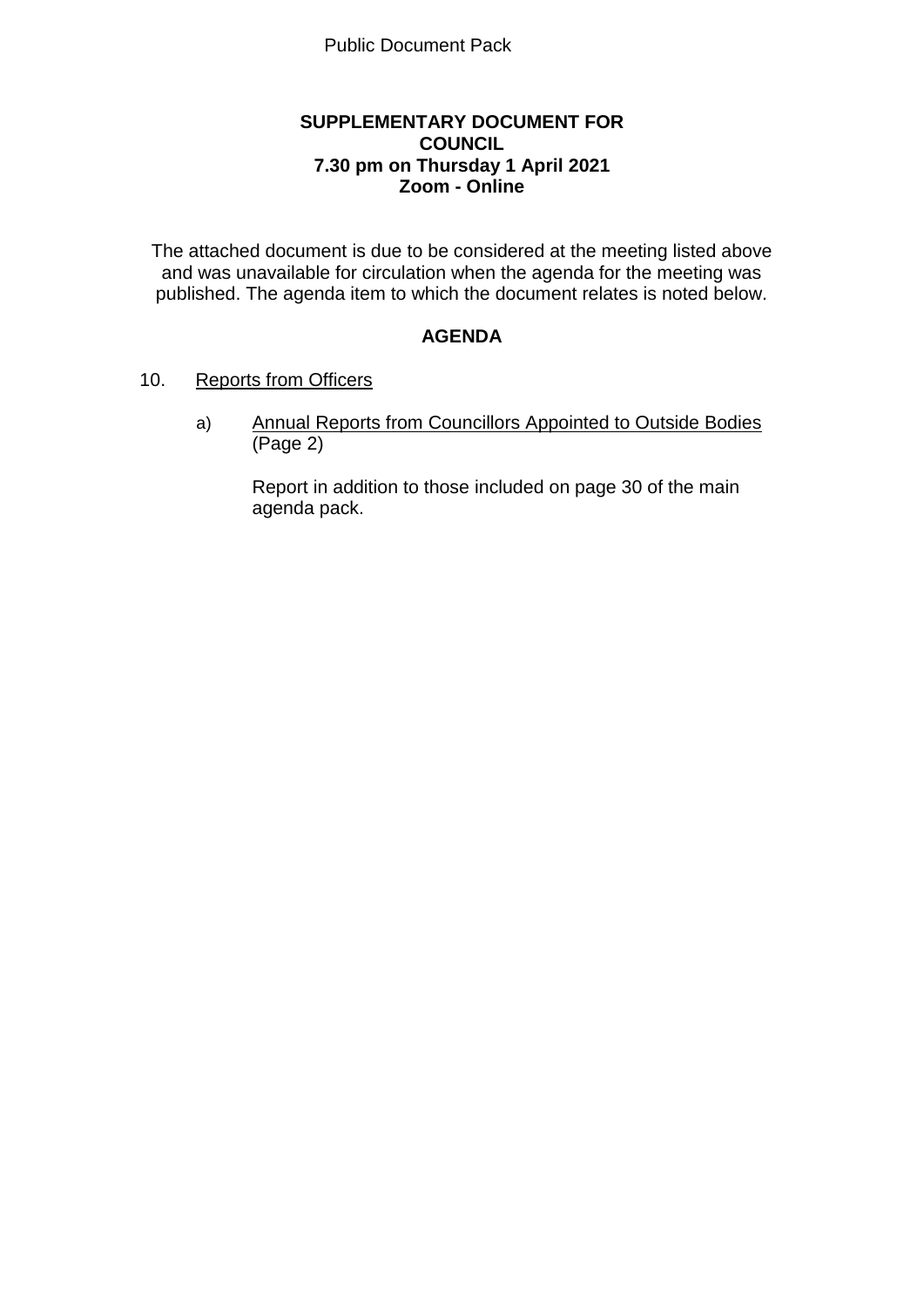### **SUPPLEMENTARY DOCUMENT FOR COUNCIL 7.30 pm on Thursday 1 April 2021 Zoom - Online**

The attached document is due to be considered at the meeting listed above and was unavailable for circulation when the agenda for the meeting was published. The agenda item to which the document relates is noted below.

## **AGENDA**

### 10. Reports from Officers

a) Annual Reports from Councillors Appointed to Outside Bodies (Page 2)

Report in addition to those included on page 30 of the main agenda pack.